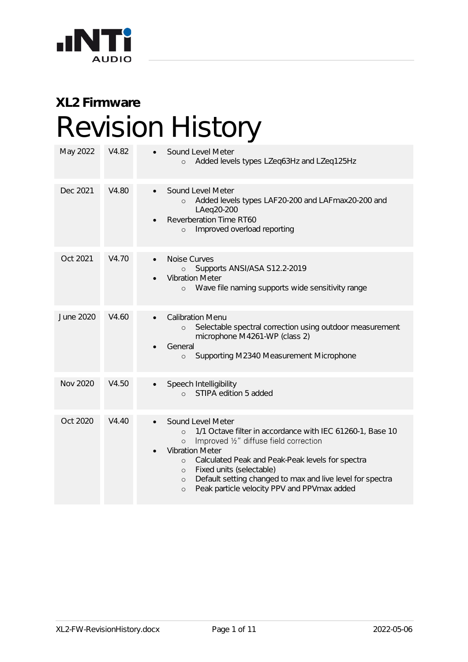

## **XL2 Firmware** Revision History

| May 2022        | V4.82 | Sound Level Meter<br>Added levels types LZeq63Hz and LZeq125Hz<br>$\circ$                                                                                                                                                                                                                                                                                                                                         |
|-----------------|-------|-------------------------------------------------------------------------------------------------------------------------------------------------------------------------------------------------------------------------------------------------------------------------------------------------------------------------------------------------------------------------------------------------------------------|
| Dec 2021        | V4.80 | Sound Level Meter<br>Added levels types LAF20-200 and LAFmax20-200 and<br>$\circ$<br>LAeg20-200<br>Reverberation Time RT60<br>Improved overload reporting<br>$\circ$                                                                                                                                                                                                                                              |
| Oct 2021        | V4.70 | Noise Curves<br>Supports ANSI/ASA S12.2-2019<br>$\circ$<br><b>Vibration Meter</b><br>Wave file naming supports wide sensitivity range<br>$\circ$                                                                                                                                                                                                                                                                  |
| June 2020       | V4.60 | <b>Calibration Menu</b><br>$\bullet$<br>Selectable spectral correction using outdoor measurement<br>$\circ$<br>microphone M4261-WP (class 2)<br>General<br>Supporting M2340 Measurement Microphone<br>$\circ$                                                                                                                                                                                                     |
| <b>Nov 2020</b> | V4.50 | Speech Intelligibility<br>STIPA edition 5 added<br>$\circ$                                                                                                                                                                                                                                                                                                                                                        |
| Oct 2020        | V4.40 | Sound Level Meter<br>1/1 Octave filter in accordance with IEC 61260-1, Base 10<br>$\Omega$<br>Improved 1/2" diffuse field correction<br>$\circ$<br><b>Vibration Meter</b><br>Calculated Peak and Peak-Peak levels for spectra<br>$\circ$<br>Fixed units (selectable)<br>$\circ$<br>Default setting changed to max and live level for spectra<br>$\circ$<br>Peak particle velocity PPV and PPVmax added<br>$\circ$ |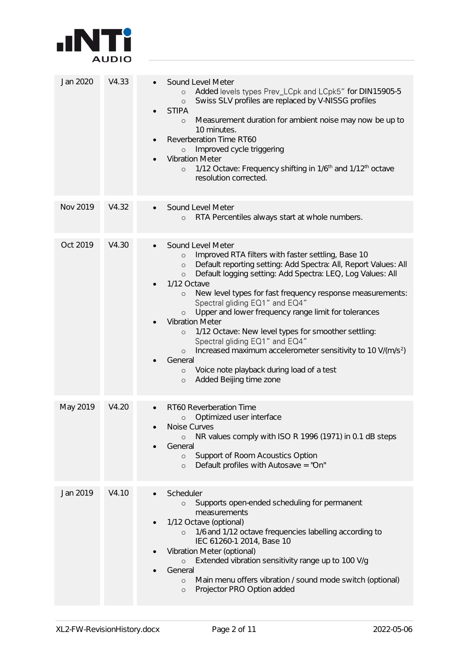

| Jan 2020 | V4.33 | Sound Level Meter<br>Added levels types Prev_LCpk and LCpk5" for DIN15905-5<br>$\circ$<br>Swiss SLV profiles are replaced by V-NISSG profiles<br>$\circ$<br><b>STIPA</b><br>Measurement duration for ambient noise may now be up to<br>$\circ$<br>10 minutes.<br>Reverberation Time RT60<br>Improved cycle triggering<br>$\circ$<br><b>Vibration Meter</b><br>1/12 Octave: Frequency shifting in 1/6 <sup>th</sup> and 1/12 <sup>th</sup> octave<br>$\circ$<br>resolution corrected.                                                                                                                                                                                                                                                                               |
|----------|-------|--------------------------------------------------------------------------------------------------------------------------------------------------------------------------------------------------------------------------------------------------------------------------------------------------------------------------------------------------------------------------------------------------------------------------------------------------------------------------------------------------------------------------------------------------------------------------------------------------------------------------------------------------------------------------------------------------------------------------------------------------------------------|
| Nov 2019 | V4.32 | Sound Level Meter<br>RTA Percentiles always start at whole numbers.<br>$\circ$                                                                                                                                                                                                                                                                                                                                                                                                                                                                                                                                                                                                                                                                                     |
| Oct 2019 | V4.30 | Sound Level Meter<br>Improved RTA filters with faster settling, Base 10<br>$\circ$<br>Default reporting setting: Add Spectra: All, Report Values: All<br>$\circ$<br>Default logging setting: Add Spectra: LEQ, Log Values: All<br>$\circ$<br>1/12 Octave<br>New level types for fast frequency response measurements:<br>$\circ$<br>Spectral gliding EQ1" and EQ4"<br>Upper and lower frequency range limit for tolerances<br>$\circ$<br><b>Vibration Meter</b><br>1/12 Octave: New level types for smoother settling:<br>$\circ$<br>Spectral gliding EQ1" and EQ4"<br>Increased maximum accelerometer sensitivity to 10 V/(m/s <sup>2</sup> )<br>$\circ$<br>General<br>Voice note playback during load of a test<br>$\circ$<br>Added Beijing time zone<br>$\circ$ |
| May 2019 | V4.20 | RT60 Reverberation Time<br>Optimized user interface<br>$\circ$<br>Noise Curves<br>NR values comply with ISO R 1996 (1971) in 0.1 dB steps<br>$\circ$<br>General<br>Support of Room Acoustics Option<br>$\circ$<br>Default profiles with Autosave = "On"<br>$\circ$                                                                                                                                                                                                                                                                                                                                                                                                                                                                                                 |
| Jan 2019 | V4.10 | Scheduler<br>Supports open-ended scheduling for permanent<br>$\circ$<br>measurements<br>1/12 Octave (optional)<br>1/6 and 1/12 octave frequencies labelling according to<br>$\circ$<br>IEC 61260-1 2014, Base 10<br>Vibration Meter (optional)<br>Extended vibration sensitivity range up to 100 V/g<br>$\circ$<br>General<br>Main menu offers vibration / sound mode switch (optional)<br>$\circ$<br>Projector PRO Option added<br>$\circ$                                                                                                                                                                                                                                                                                                                        |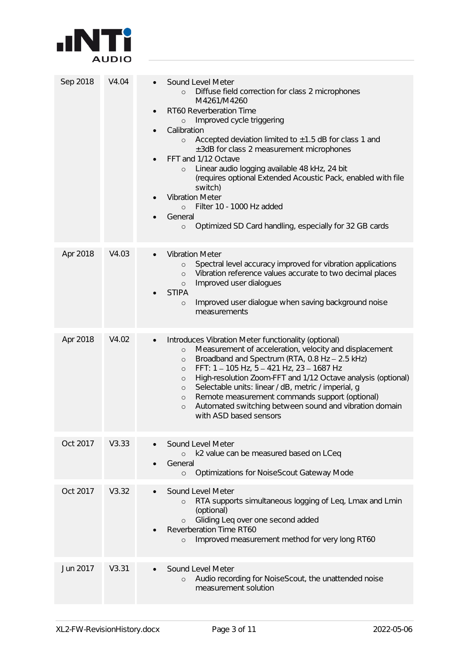

| Sep 2018 | V4.04 | Sound Level Meter<br>Diffuse field correction for class 2 microphones<br>$\circ$<br>M4261/M4260<br>RT60 Reverberation Time<br>$\bullet$<br>Improved cycle triggering<br>$\circ$<br>Calibration<br>Accepted deviation limited to $\pm 1.5$ dB for class 1 and<br>$\circ$<br>±3dB for class 2 measurement microphones<br>FFT and 1/12 Octave<br>Linear audio logging available 48 kHz, 24 bit<br>$\circ$<br>(requires optional Extended Acoustic Pack, enabled with file<br>switch)<br><b>Vibration Meter</b><br>Filter 10 - 1000 Hz added<br>$\circ$<br>General<br>Optimized SD Card handling, especially for 32 GB cards<br>$\circ$ |
|----------|-------|-------------------------------------------------------------------------------------------------------------------------------------------------------------------------------------------------------------------------------------------------------------------------------------------------------------------------------------------------------------------------------------------------------------------------------------------------------------------------------------------------------------------------------------------------------------------------------------------------------------------------------------|
| Apr 2018 | V4.03 | <b>Vibration Meter</b><br>Spectral level accuracy improved for vibration applications<br>$\circ$<br>Vibration reference values accurate to two decimal places<br>$\circ$<br>Improved user dialogues<br>$\circ$<br><b>STIPA</b><br>Improved user dialogue when saving background noise<br>$\circ$<br>measurements                                                                                                                                                                                                                                                                                                                    |
| Apr 2018 | V4.02 | Introduces Vibration Meter functionality (optional)<br>$\bullet$<br>Measurement of acceleration, velocity and displacement<br>$\circ$<br>Broadband and Spectrum (RTA, 0.8 Hz - 2.5 kHz)<br>$\circ$<br>FFT: 1-105 Hz, 5-421 Hz, 23-1687 Hz<br>$\circ$<br>High-resolution Zoom-FFT and 1/12 Octave analysis (optional)<br>$\circ$<br>Selectable units: linear / dB, metric / imperial, g<br>$\circ$<br>Remote measurement commands support (optional)<br>$\circ$<br>Automated switching between sound and vibration domain<br>$\circ$<br>with ASD based sensors                                                                       |
| Oct 2017 | V3.33 | Sound Level Meter<br>k2 value can be measured based on LCeq<br>$\circ$<br>General<br>Optimizations for NoiseScout Gateway Mode<br>$\circ$                                                                                                                                                                                                                                                                                                                                                                                                                                                                                           |
| Oct 2017 | V3.32 | Sound Level Meter<br>RTA supports simultaneous logging of Leq, Lmax and Lmin<br>$\circ$<br>(optional)<br>Gliding Leq over one second added<br>$\circ$<br>Reverberation Time RT60<br>Improved measurement method for very long RT60<br>$\circ$                                                                                                                                                                                                                                                                                                                                                                                       |
| Jun 2017 | V3.31 | Sound Level Meter<br>Audio recording for NoiseScout, the unattended noise<br>$\circ$<br>measurement solution                                                                                                                                                                                                                                                                                                                                                                                                                                                                                                                        |
|          |       |                                                                                                                                                                                                                                                                                                                                                                                                                                                                                                                                                                                                                                     |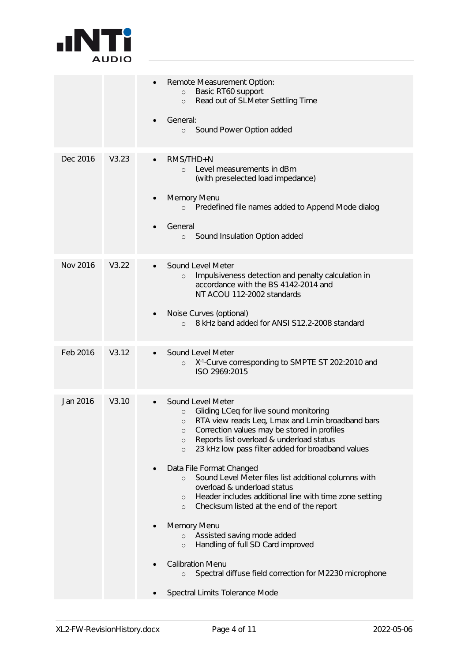

|          |       | Remote Measurement Option:<br>Basic RT60 support<br>$\circ$<br>Read out of SLMeter Settling Time<br>$\circ$<br>General:<br>Sound Power Option added<br>$\circ$                                                                                                                                                                                                                                                                                                                                                                                                                                                                                                                                                                                                                                                             |
|----------|-------|----------------------------------------------------------------------------------------------------------------------------------------------------------------------------------------------------------------------------------------------------------------------------------------------------------------------------------------------------------------------------------------------------------------------------------------------------------------------------------------------------------------------------------------------------------------------------------------------------------------------------------------------------------------------------------------------------------------------------------------------------------------------------------------------------------------------------|
| Dec 2016 | V3.23 | RMS/THD+N<br>Level measurements in dBm<br>$\Omega$<br>(with preselected load impedance)<br>Memory Menu<br>Predefined file names added to Append Mode dialog<br>$\circ$<br>General<br>Sound Insulation Option added<br>$\circ$                                                                                                                                                                                                                                                                                                                                                                                                                                                                                                                                                                                              |
| Nov 2016 | V3.22 | Sound Level Meter<br>Impulsiveness detection and penalty calculation in<br>$\circ$<br>accordance with the BS 4142-2014 and<br>NT ACOU 112-2002 standards<br>Noise Curves (optional)<br>8 kHz band added for ANSI S12.2-2008 standard<br>$\circ$                                                                                                                                                                                                                                                                                                                                                                                                                                                                                                                                                                            |
| Feb 2016 | V3.12 | Sound Level Meter<br>X <sup>-1</sup> -Curve corresponding to SMPTE ST 202:2010 and<br>$\circ$<br>ISO 2969:2015                                                                                                                                                                                                                                                                                                                                                                                                                                                                                                                                                                                                                                                                                                             |
| Jan 2016 | V3.10 | Sound Level Meter<br>Gliding LCeq for live sound monitoring<br>$\circ$<br>RTA view reads Leq, Lmax and Lmin broadband bars<br>$\circ$<br>Correction values may be stored in profiles<br>$\circ$<br>Reports list overload & underload status<br>$\circ$<br>23 kHz low pass filter added for broadband values<br>$\circ$<br>Data File Format Changed<br>Sound Level Meter files list additional columns with<br>$\circ$<br>overload & underload status<br>Header includes additional line with time zone setting<br>$\circ$<br>Checksum listed at the end of the report<br>$\circ$<br>Memory Menu<br>Assisted saving mode added<br>$\circ$<br>Handling of full SD Card improved<br>$\circ$<br><b>Calibration Menu</b><br>Spectral diffuse field correction for M2230 microphone<br>$\circ$<br>Spectral Limits Tolerance Mode |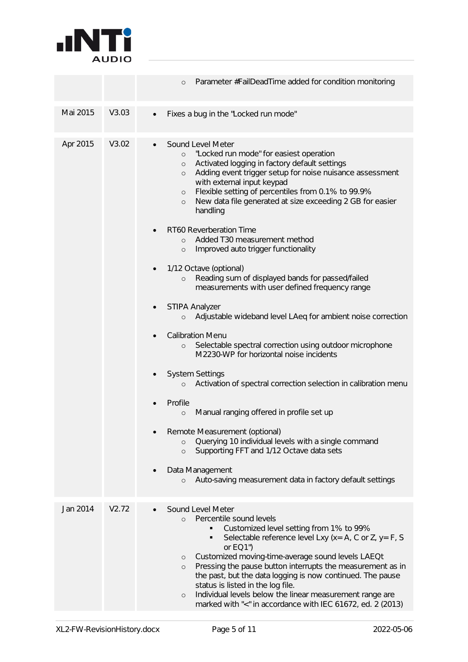

|       | Parameter #FailDeadTime added for condition monitoring<br>$\circ$                                                                                                                                                                                                                                                                                                                                                                                                                                                                                                                                                                                                                                                                                                                                                                                                                                                                                                                                                                                                                                                                                                                                                                                                                                                                              |
|-------|------------------------------------------------------------------------------------------------------------------------------------------------------------------------------------------------------------------------------------------------------------------------------------------------------------------------------------------------------------------------------------------------------------------------------------------------------------------------------------------------------------------------------------------------------------------------------------------------------------------------------------------------------------------------------------------------------------------------------------------------------------------------------------------------------------------------------------------------------------------------------------------------------------------------------------------------------------------------------------------------------------------------------------------------------------------------------------------------------------------------------------------------------------------------------------------------------------------------------------------------------------------------------------------------------------------------------------------------|
| V3.03 | Fixes a bug in the "Locked run mode"                                                                                                                                                                                                                                                                                                                                                                                                                                                                                                                                                                                                                                                                                                                                                                                                                                                                                                                                                                                                                                                                                                                                                                                                                                                                                                           |
| V3.02 | Sound Level Meter<br>"Locked run mode" for easiest operation<br>$\circ$<br>Activated logging in factory default settings<br>$\circ$<br>Adding event trigger setup for noise nuisance assessment<br>$\circ$<br>with external input keypad<br>Flexible setting of percentiles from 0.1% to 99.9%<br>$\circ$<br>New data file generated at size exceeding 2 GB for easier<br>$\circ$<br>handling<br>RT60 Reverberation Time<br>Added T30 measurement method<br>$\Omega$<br>Improved auto trigger functionality<br>$\circ$<br>1/12 Octave (optional)<br>Reading sum of displayed bands for passed/failed<br>$\circ$<br>measurements with user defined frequency range<br><b>STIPA Analyzer</b><br>Adjustable wideband level LAeq for ambient noise correction<br>$\circ$<br><b>Calibration Menu</b><br>Selectable spectral correction using outdoor microphone<br>$\circ$<br>M2230-WP for horizontal noise incidents<br><b>System Settings</b><br>Activation of spectral correction selection in calibration menu<br>$\circ$<br>Profile<br>Manual ranging offered in profile set up<br>$\circ$<br>Remote Measurement (optional)<br>Querying 10 individual levels with a single command<br>$\circ$<br>Supporting FFT and 1/12 Octave data sets<br>$\circ$<br>Data Management<br>Auto-saving measurement data in factory default settings<br>$\circ$ |
|       |                                                                                                                                                                                                                                                                                                                                                                                                                                                                                                                                                                                                                                                                                                                                                                                                                                                                                                                                                                                                                                                                                                                                                                                                                                                                                                                                                |
| V2.72 | Sound Level Meter<br>Percentile sound levels<br>$\Omega$<br>Customized level setting from 1% to 99%<br>Selectable reference level Lxy ( $x = A$ , C or Z, $y = F$ , S<br>or $EO1"$<br>Customized moving-time-average sound levels LAEQt<br>$\circ$<br>Pressing the pause button interrupts the measurement as in<br>$\circ$<br>the past, but the data logging is now continued. The pause<br>status is listed in the log file.<br>Individual levels below the linear measurement range are<br>$\circ$<br>marked with "<" in accordance with IEC 61672, ed. 2 (2013)                                                                                                                                                                                                                                                                                                                                                                                                                                                                                                                                                                                                                                                                                                                                                                            |
|       |                                                                                                                                                                                                                                                                                                                                                                                                                                                                                                                                                                                                                                                                                                                                                                                                                                                                                                                                                                                                                                                                                                                                                                                                                                                                                                                                                |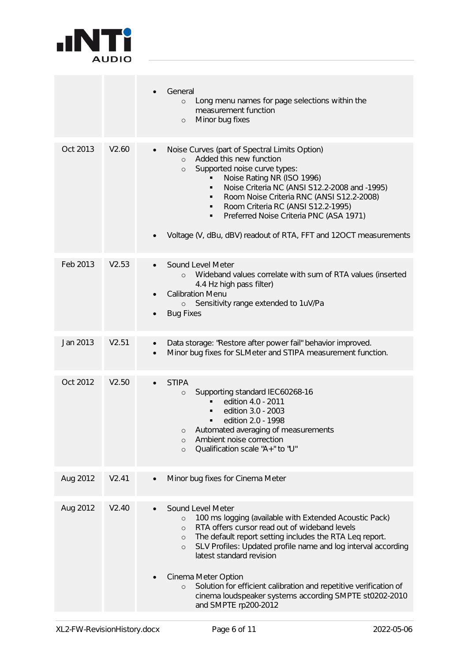

|          |       | General<br>Long menu names for page selections within the<br>$\circ$<br>measurement function<br>Minor bug fixes<br>$\circ$                                                                                                                                                                                                                                                                                                                                                                                                |
|----------|-------|---------------------------------------------------------------------------------------------------------------------------------------------------------------------------------------------------------------------------------------------------------------------------------------------------------------------------------------------------------------------------------------------------------------------------------------------------------------------------------------------------------------------------|
| Oct 2013 | V2.60 | Noise Curves (part of Spectral Limits Option)<br>Added this new function<br>$\circ$<br>Supported noise curve types:<br>$\circ$<br>Noise Rating NR (ISO 1996)<br>Noise Criteria NC (ANSI S12.2-2008 and -1995)<br>Room Noise Criteria RNC (ANSI S12.2-2008)<br>Room Criteria RC (ANSI S12.2-1995)<br>Preferred Noise Criteria PNC (ASA 1971)<br>٠<br>Voltage (V, dBu, dBV) readout of RTA, FFT and 12OCT measurements                                                                                                      |
| Feb 2013 | V2.53 | Sound Level Meter<br>Wideband values correlate with sum of RTA values (inserted<br>$\circ$<br>4.4 Hz high pass filter)<br><b>Calibration Menu</b><br>Sensitivity range extended to 1uV/Pa<br>$\circ$<br><b>Bug Fixes</b>                                                                                                                                                                                                                                                                                                  |
| Jan 2013 | V2.51 | Data storage: "Restore after power fail" behavior improved.<br>$\bullet$<br>Minor bug fixes for SLMeter and STIPA measurement function.<br>$\bullet$                                                                                                                                                                                                                                                                                                                                                                      |
| Oct 2012 | V2.50 | <b>STIPA</b><br>Supporting standard IEC60268-16<br>$\circ$<br>edition 4.0 - 2011<br>edition 3.0 - 2003<br>edition 2.0 - 1998<br>Automated averaging of measurements<br>Ambient noise correction<br>$\circ$<br>Qualification scale "A+" to "U"<br>$\circ$                                                                                                                                                                                                                                                                  |
| Aug 2012 | V2.41 | Minor bug fixes for Cinema Meter                                                                                                                                                                                                                                                                                                                                                                                                                                                                                          |
| Aug 2012 | V2.40 | Sound Level Meter<br>100 ms logging (available with Extended Acoustic Pack)<br>$\circ$<br>RTA offers cursor read out of wideband levels<br>$\circ$<br>The default report setting includes the RTA Leq report.<br>$\circ$<br>SLV Profiles: Updated profile name and log interval according<br>$\circ$<br>latest standard revision<br>Cinema Meter Option<br>Solution for efficient calibration and repetitive verification of<br>$\circ$<br>cinema loudspeaker systems according SMPTE st0202-2010<br>and SMPTE rp200-2012 |
|          |       |                                                                                                                                                                                                                                                                                                                                                                                                                                                                                                                           |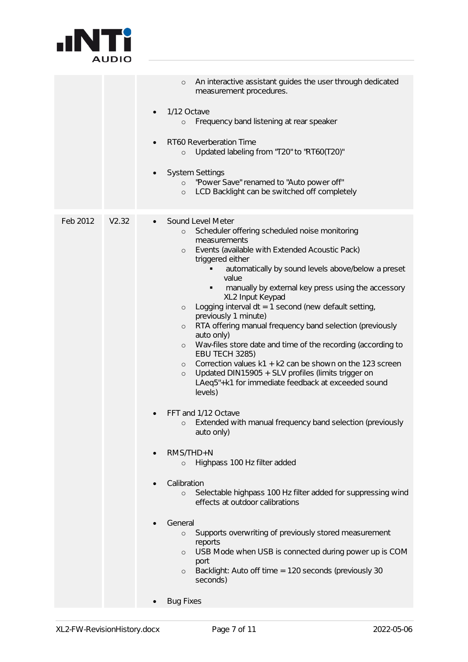

|                   | An interactive assistant guides the user through dedicated<br>$\circ$<br>measurement procedures.                                                                                                                                                                                                                                                                                                                                                                                                                                                                                                                                                                                                                                                                                                                                                                                                                                                                                                                                                                                                                                                                                                                                                                                                                                                                                            |
|-------------------|---------------------------------------------------------------------------------------------------------------------------------------------------------------------------------------------------------------------------------------------------------------------------------------------------------------------------------------------------------------------------------------------------------------------------------------------------------------------------------------------------------------------------------------------------------------------------------------------------------------------------------------------------------------------------------------------------------------------------------------------------------------------------------------------------------------------------------------------------------------------------------------------------------------------------------------------------------------------------------------------------------------------------------------------------------------------------------------------------------------------------------------------------------------------------------------------------------------------------------------------------------------------------------------------------------------------------------------------------------------------------------------------|
|                   | 1/12 Octave<br>$\bullet$<br>Frequency band listening at rear speaker<br>$\circ$                                                                                                                                                                                                                                                                                                                                                                                                                                                                                                                                                                                                                                                                                                                                                                                                                                                                                                                                                                                                                                                                                                                                                                                                                                                                                                             |
|                   | RT60 Reverberation Time<br>Updated labeling from "T20" to "RT60(T20)"<br>$\circ$                                                                                                                                                                                                                                                                                                                                                                                                                                                                                                                                                                                                                                                                                                                                                                                                                                                                                                                                                                                                                                                                                                                                                                                                                                                                                                            |
|                   | <b>System Settings</b><br>"Power Save" renamed to "Auto power off"<br>$\circ$<br>LCD Backlight can be switched off completely<br>$\circ$                                                                                                                                                                                                                                                                                                                                                                                                                                                                                                                                                                                                                                                                                                                                                                                                                                                                                                                                                                                                                                                                                                                                                                                                                                                    |
| Feb 2012<br>V2.32 | Sound Level Meter<br>Scheduler offering scheduled noise monitoring<br>$\circ$<br>measurements<br>Events (available with Extended Acoustic Pack)<br>$\circ$<br>triggered either<br>automatically by sound levels above/below a preset<br>value<br>manually by external key press using the accessory<br>XL2 Input Keypad<br>Logging interval $dt = 1$ second (new default setting,<br>$\circ$<br>previously 1 minute)<br>RTA offering manual frequency band selection (previously<br>$\circ$<br>auto only)<br>Wav-files store date and time of the recording (according to<br>$\circ$<br><b>EBU TECH 3285)</b><br>Correction values k1 + k2 can be shown on the 123 screen<br>$\circ$<br>Updated DIN15905 + SLV profiles (limits trigger on<br>$\circ$<br>LAeq5"+k1 for immediate feedback at exceeded sound<br>levels)<br>FFT and 1/12 Octave<br>o Extended with manual frequency band selection (previously<br>auto only)<br>$RMS/THD+N$<br>Highpass 100 Hz filter added<br>$\circ$<br>Calibration<br>Selectable highpass 100 Hz filter added for suppressing wind<br>$\circ$<br>effects at outdoor calibrations<br>General<br>Supports overwriting of previously stored measurement<br>$\circ$<br>reports<br>USB Mode when USB is connected during power up is COM<br>$\circ$<br>port<br>Backlight: Auto off time = 120 seconds (previously 30<br>$\circ$<br>seconds)<br><b>Bug Fixes</b> |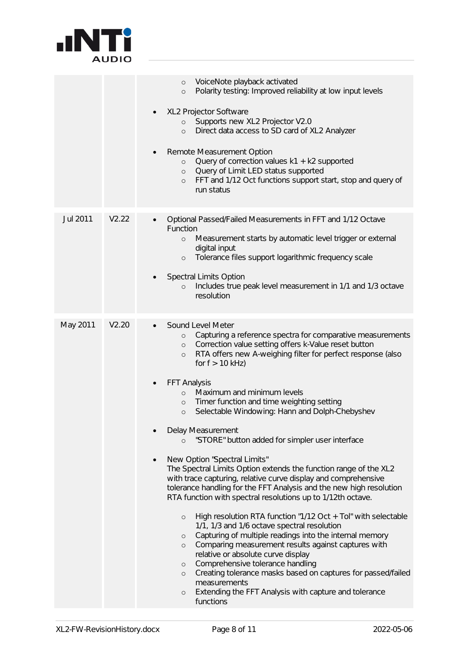

|          |       | VoiceNote playback activated<br>$\circ$<br>Polarity testing: Improved reliability at low input levels<br>$\circ$                                                                                                                                                                                                                                                                                                                                                                                                                                                                                                                                                                                                                                                                                                                                                                                                                                                                                                                                                                                                                                                                                                                                                                                                                                                               |
|----------|-------|--------------------------------------------------------------------------------------------------------------------------------------------------------------------------------------------------------------------------------------------------------------------------------------------------------------------------------------------------------------------------------------------------------------------------------------------------------------------------------------------------------------------------------------------------------------------------------------------------------------------------------------------------------------------------------------------------------------------------------------------------------------------------------------------------------------------------------------------------------------------------------------------------------------------------------------------------------------------------------------------------------------------------------------------------------------------------------------------------------------------------------------------------------------------------------------------------------------------------------------------------------------------------------------------------------------------------------------------------------------------------------|
|          |       | XL2 Projector Software<br>Supports new XL2 Projector V2.0<br>$\circ$<br>Direct data access to SD card of XL2 Analyzer<br>$\circ$                                                                                                                                                                                                                                                                                                                                                                                                                                                                                                                                                                                                                                                                                                                                                                                                                                                                                                                                                                                                                                                                                                                                                                                                                                               |
|          |       | Remote Measurement Option<br>Query of correction values k1 + k2 supported<br>$\circ$<br>Query of Limit LED status supported<br>$\circ$<br>FFT and 1/12 Oct functions support start, stop and query of<br>$\circ$<br>run status                                                                                                                                                                                                                                                                                                                                                                                                                                                                                                                                                                                                                                                                                                                                                                                                                                                                                                                                                                                                                                                                                                                                                 |
| Jul 2011 | V2.22 | Optional Passed/Failed Measurements in FFT and 1/12 Octave<br>Function<br>Measurement starts by automatic level trigger or external<br>$\circ$<br>digital input<br>Tolerance files support logarithmic frequency scale<br>$\circ$<br><b>Spectral Limits Option</b><br>Includes true peak level measurement in 1/1 and 1/3 octave<br>$\circ$<br>resolution                                                                                                                                                                                                                                                                                                                                                                                                                                                                                                                                                                                                                                                                                                                                                                                                                                                                                                                                                                                                                      |
| May 2011 | V2.20 | Sound Level Meter<br>Capturing a reference spectra for comparative measurements<br>$\circ$<br>Correction value setting offers k-Value reset button<br>$\circ$<br>RTA offers new A-weighing filter for perfect response (also<br>$\circ$<br>for $f > 10$ kHz)<br>FFT Analysis<br>Maximum and minimum levels<br>$\circ$<br>Timer function and time weighting setting<br>$\circ$<br>Selectable Windowing: Hann and Dolph-Chebyshev<br>$\circ$<br>Delay Measurement<br>"STORE" button added for simpler user interface<br>$\Omega$<br>New Option "Spectral Limits"<br>The Spectral Limits Option extends the function range of the XL2<br>with trace capturing, relative curve display and comprehensive<br>tolerance handling for the FFT Analysis and the new high resolution<br>RTA function with spectral resolutions up to 1/12th octave.<br>High resolution RTA function "1/12 Oct + Tol" with selectable<br>$\circ$<br>1/1, 1/3 and 1/6 octave spectral resolution<br>Capturing of multiple readings into the internal memory<br>$\circ$<br>Comparing measurement results against captures with<br>$\circ$<br>relative or absolute curve display<br>Comprehensive tolerance handling<br>$\circ$<br>Creating tolerance masks based on captures for passed/failed<br>$\circ$<br>measurements<br>Extending the FFT Analysis with capture and tolerance<br>$\circ$<br>functions |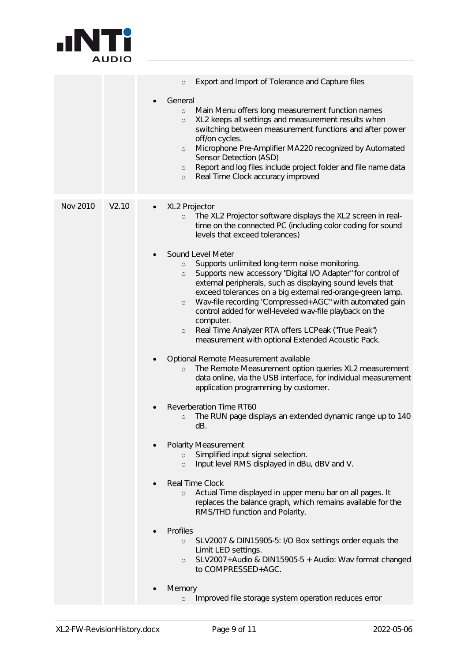

|          |       | Export and Import of Tolerance and Capture files<br>$\circ$<br>General<br>Main Menu offers long measurement function names<br>$\circ$<br>XL2 keeps all settings and measurement results when<br>$\circ$<br>switching between measurement functions and after power<br>off/on cycles.<br>Microphone Pre-Amplifier MA220 recognized by Automated<br>$\circ$<br>Sensor Detection (ASD)<br>Report and log files include project folder and file name data<br>$\circ$<br>Real Time Clock accuracy improved<br>$\circ$                                                                                                                                                                                                                                                                                                                                                                                                                                                                                                                                                                                                                                                                                                                                                                                                                                                                                                                                                                                                                                                                                                                                                                                             |
|----------|-------|--------------------------------------------------------------------------------------------------------------------------------------------------------------------------------------------------------------------------------------------------------------------------------------------------------------------------------------------------------------------------------------------------------------------------------------------------------------------------------------------------------------------------------------------------------------------------------------------------------------------------------------------------------------------------------------------------------------------------------------------------------------------------------------------------------------------------------------------------------------------------------------------------------------------------------------------------------------------------------------------------------------------------------------------------------------------------------------------------------------------------------------------------------------------------------------------------------------------------------------------------------------------------------------------------------------------------------------------------------------------------------------------------------------------------------------------------------------------------------------------------------------------------------------------------------------------------------------------------------------------------------------------------------------------------------------------------------------|
| Nov 2010 | V2.10 | XL2 Projector<br>$\bullet$<br>The XL2 Projector software displays the XL2 screen in real-<br>$\circ$<br>time on the connected PC (including color coding for sound<br>levels that exceed tolerances)<br>Sound Level Meter<br>$\bullet$<br>Supports unlimited long-term noise monitoring.<br>$\circ$<br>Supports new accessory "Digital I/O Adapter" for control of<br>$\circ$<br>external peripherals, such as displaying sound levels that<br>exceed tolerances on a big external red-orange-green lamp.<br>Wav-file recording "Compressed+AGC" with automated gain<br>$\circ$<br>control added for well-leveled wav-file playback on the<br>computer.<br>Real Time Analyzer RTA offers LCPeak ("True Peak")<br>$\circ$<br>measurement with optional Extended Acoustic Pack.<br>Optional Remote Measurement available<br>$\bullet$<br>The Remote Measurement option queries XL2 measurement<br>$\circ$<br>data online, via the USB interface, for individual measurement<br>application programming by customer.<br>Reverberation Time RT60<br>$\bullet$<br>The RUN page displays an extended dynamic range up to 140<br>$\circ$<br>dB.<br><b>Polarity Measurement</b><br>$\bullet$<br>Simplified input signal selection.<br>$\circ$<br>Input level RMS displayed in dBu, dBV and V.<br>$\circ$<br>Real Time Clock<br>Actual Time displayed in upper menu bar on all pages. It<br>$\circ$<br>replaces the balance graph, which remains available for the<br>RMS/THD function and Polarity.<br>Profiles<br>$\bullet$<br>SLV2007 & DIN15905-5: I/O Box settings order equals the<br>$\circ$<br>Limit LED settings.<br>SLV2007+Audio & DIN15905-5 + Audio: Wav format changed<br>$\circ$<br>to COMPRESSED+AGC. |
|          |       | Memory<br>Improved file storage system operation reduces error<br>$\circ$                                                                                                                                                                                                                                                                                                                                                                                                                                                                                                                                                                                                                                                                                                                                                                                                                                                                                                                                                                                                                                                                                                                                                                                                                                                                                                                                                                                                                                                                                                                                                                                                                                    |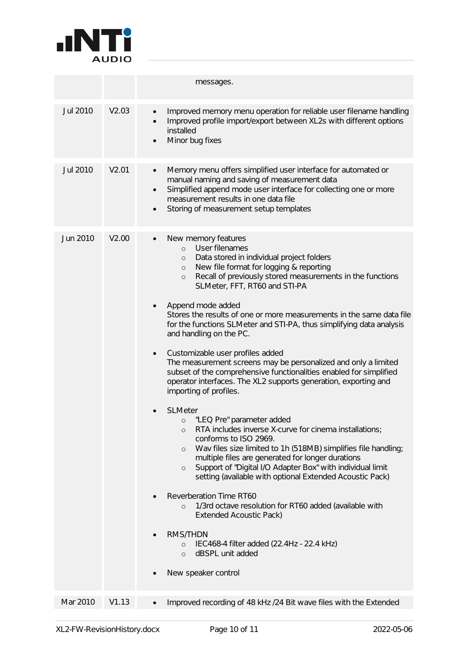

|                 |       | messages.                                                                                                                                                                                                                                                                                                                                                                                                                                                                                                                                                                                                                                                                                                                                                                                                                                                                                                                                                                                                                                                                                                                                                                                                                                                                                                                                                                                                                                                        |
|-----------------|-------|------------------------------------------------------------------------------------------------------------------------------------------------------------------------------------------------------------------------------------------------------------------------------------------------------------------------------------------------------------------------------------------------------------------------------------------------------------------------------------------------------------------------------------------------------------------------------------------------------------------------------------------------------------------------------------------------------------------------------------------------------------------------------------------------------------------------------------------------------------------------------------------------------------------------------------------------------------------------------------------------------------------------------------------------------------------------------------------------------------------------------------------------------------------------------------------------------------------------------------------------------------------------------------------------------------------------------------------------------------------------------------------------------------------------------------------------------------------|
| Jul 2010        | V2.03 | Improved memory menu operation for reliable user filename handling<br>$\bullet$<br>Improved profile import/export between XL2s with different options<br>installed<br>Minor bug fixes<br>$\bullet$                                                                                                                                                                                                                                                                                                                                                                                                                                                                                                                                                                                                                                                                                                                                                                                                                                                                                                                                                                                                                                                                                                                                                                                                                                                               |
| <b>Jul 2010</b> | V2.01 | Memory menu offers simplified user interface for automated or<br>$\bullet$<br>manual naming and saving of measurement data<br>Simplified append mode user interface for collecting one or more<br>$\bullet$<br>measurement results in one data file<br>Storing of measurement setup templates<br>$\bullet$                                                                                                                                                                                                                                                                                                                                                                                                                                                                                                                                                                                                                                                                                                                                                                                                                                                                                                                                                                                                                                                                                                                                                       |
| Jun 2010        | V2.00 | New memory features<br>User filenames<br>$\circ$<br>Data stored in individual project folders<br>$\circ$<br>New file format for logging & reporting<br>$\circ$<br>Recall of previously stored measurements in the functions<br>$\circ$<br>SLMeter, FFT, RT60 and STI-PA<br>Append mode added<br>Stores the results of one or more measurements in the same data file<br>for the functions SLMeter and STI-PA, thus simplifying data analysis<br>and handling on the PC.<br>Customizable user profiles added<br>$\bullet$<br>The measurement screens may be personalized and only a limited<br>subset of the comprehensive functionalities enabled for simplified<br>operator interfaces. The XL2 supports generation, exporting and<br>importing of profiles.<br><b>SLMeter</b><br>"LEQ Pre" parameter added<br>$\circ$<br>RTA includes inverse X-curve for cinema installations;<br>$\circ$<br>conforms to ISO 2969.<br>Wav files size limited to 1h (518MB) simplifies file handling;<br>$\circ$<br>multiple files are generated for longer durations<br>Support of "Digital I/O Adapter Box" with individual limit<br>$\circ$<br>setting (available with optional Extended Acoustic Pack)<br>Reverberation Time RT60<br>1/3rd octave resolution for RT60 added (available with<br>$\Omega$<br><b>Extended Acoustic Pack)</b><br><b>RMS/THDN</b><br>IEC468-4 filter added (22.4Hz - 22.4 kHz)<br>$\circ$<br>dBSPL unit added<br>$\circ$<br>New speaker control |
| Mar 2010        | V1.13 | Improved recording of 48 kHz /24 Bit wave files with the Extended                                                                                                                                                                                                                                                                                                                                                                                                                                                                                                                                                                                                                                                                                                                                                                                                                                                                                                                                                                                                                                                                                                                                                                                                                                                                                                                                                                                                |